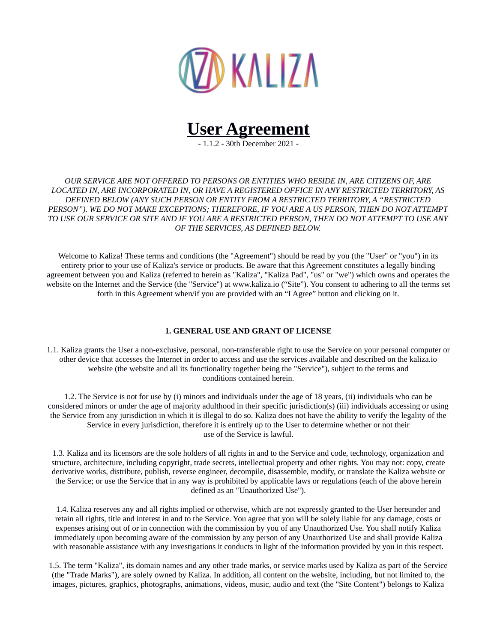



- 1.1.2 - 30th December 2021 -

*OUR SERVICE ARE NOT OFFERED TO PERSONS OR ENTITIES WHO RESIDE IN, ARE CITIZENS OF, ARE LOCATED IN, ARE INCORPORATED IN, OR HAVE A REGISTERED OFFICE IN ANY RESTRICTED TERRITORY, AS DEFINED BELOW (ANY SUCH PERSON OR ENTITY FROM A RESTRICTED TERRITORY, A "RESTRICTED PERSON"). WE DO NOT MAKE EXCEPTIONS; THEREFORE, IF YOU ARE A US PERSON, THEN DO NOT ATTEMPT TO USE OUR SERVICE OR SITE AND IF YOU ARE A RESTRICTED PERSON, THEN DO NOT ATTEMPT TO USE ANY OF THE SERVICES, AS DEFINED BELOW.*

Welcome to Kaliza! These terms and conditions (the "Agreement") should be read by you (the "User" or "you") in its entirety prior to your use of Kaliza's service or products. Be aware that this Agreement constitutes a legally binding agreement between you and Kaliza (referred to herein as "Kaliza", "Kaliza Pad", "us" or "we") which owns and operates the website on the Internet and the Service (the "Service") at www.kaliza.io ("Site"). You consent to adhering to all the terms set forth in this Agreement when/if you are provided with an "I Agree" button and clicking on it.

# **1. GENERAL USE AND GRANT OF LICENSE**

1.1. Kaliza grants the User a non-exclusive, personal, non-transferable right to use the Service on your personal computer or other device that accesses the Internet in order to access and use the services available and described on the kaliza.io website (the website and all its functionality together being the "Service"), subject to the terms and conditions contained herein.

1.2. The Service is not for use by (i) minors and individuals under the age of 18 years, (ii) individuals who can be considered minors or under the age of majority adulthood in their specific jurisdiction(s) (iii) individuals accessing or using the Service from any jurisdiction in which it is illegal to do so. Kaliza does not have the ability to verify the legality of the Service in every jurisdiction, therefore it is entirely up to the User to determine whether or not their use of the Service is lawful.

1.3. Kaliza and its licensors are the sole holders of all rights in and to the Service and code, technology, organization and structure, architecture, including copyright, trade secrets, intellectual property and other rights. You may not: copy, create derivative works, distribute, publish, reverse engineer, decompile, disassemble, modify, or translate the Kaliza website or the Service; or use the Service that in any way is prohibited by applicable laws or regulations (each of the above herein defined as an "Unauthorized Use").

1.4. Kaliza reserves any and all rights implied or otherwise, which are not expressly granted to the User hereunder and retain all rights, title and interest in and to the Service. You agree that you will be solely liable for any damage, costs or expenses arising out of or in connection with the commission by you of any Unauthorized Use. You shall notify Kaliza immediately upon becoming aware of the commission by any person of any Unauthorized Use and shall provide Kaliza with reasonable assistance with any investigations it conducts in light of the information provided by you in this respect.

1.5. The term "Kaliza", its domain names and any other trade marks, or service marks used by Kaliza as part of the Service (the "Trade Marks"), are solely owned by Kaliza. In addition, all content on the website, including, but not limited to, the images, pictures, graphics, photographs, animations, videos, music, audio and text (the "Site Content") belongs to Kaliza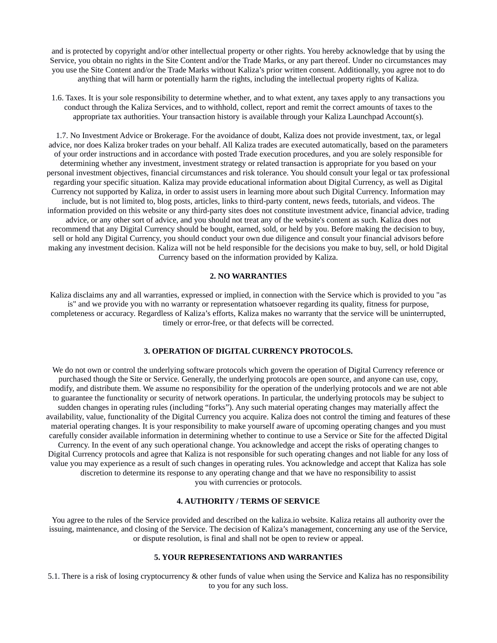and is protected by copyright and/or other intellectual property or other rights. You hereby acknowledge that by using the Service, you obtain no rights in the Site Content and/or the Trade Marks, or any part thereof. Under no circumstances may you use the Site Content and/or the Trade Marks without Kaliza's prior written consent. Additionally, you agree not to do anything that will harm or potentially harm the rights, including the intellectual property rights of Kaliza.

1.6. Taxes. It is your sole responsibility to determine whether, and to what extent, any taxes apply to any transactions you conduct through the Kaliza Services, and to withhold, collect, report and remit the correct amounts of taxes to the appropriate tax authorities. Your transaction history is available through your Kaliza Launchpad Account(s).

1.7. No Investment Advice or Brokerage. For the avoidance of doubt, Kaliza does not provide investment, tax, or legal advice, nor does Kaliza broker trades on your behalf. All Kaliza trades are executed automatically, based on the parameters of your order instructions and in accordance with posted Trade execution procedures, and you are solely responsible for determining whether any investment, investment strategy or related transaction is appropriate for you based on your personal investment objectives, financial circumstances and risk tolerance. You should consult your legal or tax professional regarding your specific situation. Kaliza may provide educational information about Digital Currency, as well as Digital Currency not supported by Kaliza, in order to assist users in learning more about such Digital Currency. Information may include, but is not limited to, blog posts, articles, links to third-party content, news feeds, tutorials, and videos. The information provided on this website or any third-party sites does not constitute investment advice, financial advice, trading advice, or any other sort of advice, and you should not treat any of the website's content as such. Kaliza does not recommend that any Digital Currency should be bought, earned, sold, or held by you. Before making the decision to buy, sell or hold any Digital Currency, you should conduct your own due diligence and consult your financial advisors before making any investment decision. Kaliza will not be held responsible for the decisions you make to buy, sell, or hold Digital Currency based on the information provided by Kaliza.

#### **2. NO WARRANTIES**

Kaliza disclaims any and all warranties, expressed or implied, in connection with the Service which is provided to you "as is" and we provide you with no warranty or representation whatsoever regarding its quality, fitness for purpose, completeness or accuracy. Regardless of Kaliza's efforts, Kaliza makes no warranty that the service will be uninterrupted, timely or error-free, or that defects will be corrected.

# **3. OPERATION OF DIGITAL CURRENCY PROTOCOLS.**

We do not own or control the underlying software protocols which govern the operation of Digital Currency reference or purchased though the Site or Service. Generally, the underlying protocols are open source, and anyone can use, copy, modify, and distribute them. We assume no responsibility for the operation of the underlying protocols and we are not able to guarantee the functionality or security of network operations. In particular, the underlying protocols may be subject to sudden changes in operating rules (including "forks"). Any such material operating changes may materially affect the availability, value, functionality of the Digital Currency you acquire. Kaliza does not control the timing and features of these material operating changes. It is your responsibility to make yourself aware of upcoming operating changes and you must carefully consider available information in determining whether to continue to use a Service or Site for the affected Digital Currency. In the event of any such operational change. You acknowledge and accept the risks of operating changes to Digital Currency protocols and agree that Kaliza is not responsible for such operating changes and not liable for any loss of value you may experience as a result of such changes in operating rules. You acknowledge and accept that Kaliza has sole discretion to determine its response to any operating change and that we have no responsibility to assist you with currencies or protocols.

# **4. AUTHORITY / TERMS OF SERVICE**

You agree to the rules of the Service provided and described on the kaliza.io website. Kaliza retains all authority over the issuing, maintenance, and closing of the Service. The decision of Kaliza's management, concerning any use of the Service, or dispute resolution, is final and shall not be open to review or appeal.

#### **5. YOUR REPRESENTATIONS AND WARRANTIES**

5.1. There is a risk of losing cryptocurrency & other funds of value when using the Service and Kaliza has no responsibility to you for any such loss.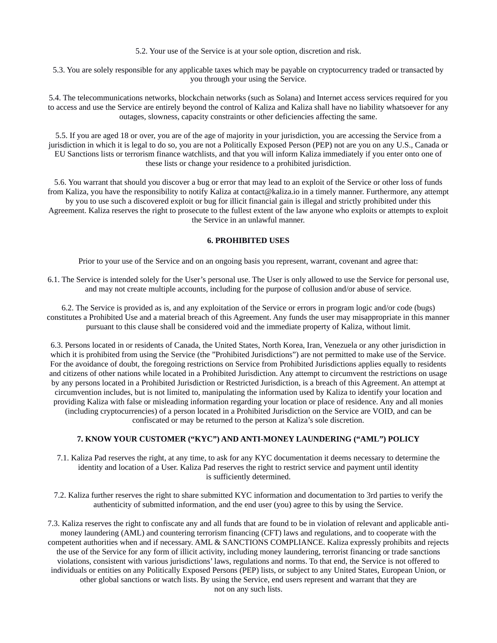5.2. Your use of the Service is at your sole option, discretion and risk.

5.3. You are solely responsible for any applicable taxes which may be payable on cryptocurrency traded or transacted by you through your using the Service.

5.4. The telecommunications networks, blockchain networks (such as Solana) and Internet access services required for you to access and use the Service are entirely beyond the control of Kaliza and Kaliza shall have no liability whatsoever for any outages, slowness, capacity constraints or other deficiencies affecting the same.

5.5. If you are aged 18 or over, you are of the age of majority in your jurisdiction, you are accessing the Service from a jurisdiction in which it is legal to do so, you are not a Politically Exposed Person (PEP) not are you on any U.S., Canada or EU Sanctions lists or terrorism finance watchlists, and that you will inform Kaliza immediately if you enter onto one of these lists or change your residence to a prohibited jurisdiction.

5.6. You warrant that should you discover a bug or error that may lead to an exploit of the Service or other loss of funds from Kaliza, you have the responsibility to notify Kaliza at contact@kaliza.io in a timely manner. Furthermore, any attempt by you to use such a discovered exploit or bug for illicit financial gain is illegal and strictly prohibited under this Agreement. Kaliza reserves the right to prosecute to the fullest extent of the law anyone who exploits or attempts to exploit the Service in an unlawful manner.

# **6. PROHIBITED USES**

Prior to your use of the Service and on an ongoing basis you represent, warrant, covenant and agree that:

6.1. The Service is intended solely for the User's personal use. The User is only allowed to use the Service for personal use, and may not create multiple accounts, including for the purpose of collusion and/or abuse of service.

6.2. The Service is provided as is, and any exploitation of the Service or errors in program logic and/or code (bugs) constitutes a Prohibited Use and a material breach of this Agreement. Any funds the user may misappropriate in this manner pursuant to this clause shall be considered void and the immediate property of Kaliza, without limit.

6.3. Persons located in or residents of Canada, the United States, North Korea, Iran, Venezuela or any other jurisdiction in which it is prohibited from using the Service (the "Prohibited Jurisdictions") are not permitted to make use of the Service. For the avoidance of doubt, the foregoing restrictions on Service from Prohibited Jurisdictions applies equally to residents and citizens of other nations while located in a Prohibited Jurisdiction. Any attempt to circumvent the restrictions on usage by any persons located in a Prohibited Jurisdiction or Restricted Jurisdiction, is a breach of this Agreement. An attempt at circumvention includes, but is not limited to, manipulating the information used by Kaliza to identify your location and providing Kaliza with false or misleading information regarding your location or place of residence. Any and all monies (including cryptocurrencies) of a person located in a Prohibited Jurisdiction on the Service are VOID, and can be confiscated or may be returned to the person at Kaliza's sole discretion.

# **7. KNOW YOUR CUSTOMER ("KYC") AND ANTI-MONEY LAUNDERING ("AML") POLICY**

7.1. Kaliza Pad reserves the right, at any time, to ask for any KYC documentation it deems necessary to determine the identity and location of a User. Kaliza Pad reserves the right to restrict service and payment until identity is sufficiently determined.

7.2. Kaliza further reserves the right to share submitted KYC information and documentation to 3rd parties to verify the authenticity of submitted information, and the end user (you) agree to this by using the Service.

7.3. Kaliza reserves the right to confiscate any and all funds that are found to be in violation of relevant and applicable antimoney laundering (AML) and countering terrorism financing (CFT) laws and regulations, and to cooperate with the competent authorities when and if necessary. AML & SANCTIONS COMPLIANCE. Kaliza expressly prohibits and rejects the use of the Service for any form of illicit activity, including money laundering, terrorist financing or trade sanctions violations, consistent with various jurisdictions' laws, regulations and norms. To that end, the Service is not offered to individuals or entities on any Politically Exposed Persons (PEP) lists, or subject to any United States, European Union, or other global sanctions or watch lists. By using the Service, end users represent and warrant that they are not on any such lists.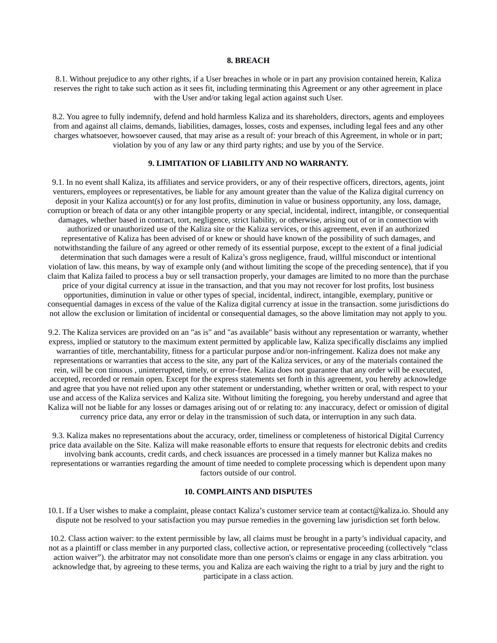#### **8. BREACH**

8.1. Without prejudice to any other rights, if a User breaches in whole or in part any provision contained herein, Kaliza reserves the right to take such action as it sees fit, including terminating this Agreement or any other agreement in place with the User and/or taking legal action against such User.

8.2. You agree to fully indemnify, defend and hold harmless Kaliza and its shareholders, directors, agents and employees from and against all claims, demands, liabilities, damages, losses, costs and expenses, including legal fees and any other charges whatsoever, howsoever caused, that may arise as a result of: your breach of this Agreement, in whole or in part; violation by you of any law or any third party rights; and use by you of the Service.

# **9. LIMITATION OF LIABILITY AND NO WARRANTY.**

9.1. In no event shall Kaliza, its affiliates and service providers, or any of their respective officers, directors, agents, joint venturers, employees or representatives, be liable for any amount greater than the value of the Kaliza digital currency on deposit in your Kaliza account(s) or for any lost profits, diminution in value or business opportunity, any loss, damage, corruption or breach of data or any other intangible property or any special, incidental, indirect, intangible, or consequential damages, whether based in contract, tort, negligence, strict liability, or otherwise, arising out of or in connection with authorized or unauthorized use of the Kaliza site or the Kaliza services, or this agreement, even if an authorized representative of Kaliza has been advised of or knew or should have known of the possibility of such damages, and notwithstanding the failure of any agreed or other remedy of its essential purpose, except to the extent of a final judicial determination that such damages were a result of Kaliza's gross negligence, fraud, willful misconduct or intentional violation of law. this means, by way of example only (and without limiting the scope of the preceding sentence), that if you claim that Kaliza failed to process a buy or sell transaction properly, your damages are limited to no more than the purchase price of your digital currency at issue in the transaction, and that you may not recover for lost profits, lost business opportunities, diminution in value or other types of special, incidental, indirect, intangible, exemplary, punitive or consequential damages in excess of the value of the Kaliza digital currency at issue in the transaction. some jurisdictions do not allow the exclusion or limitation of incidental or consequential damages, so the above limitation may not apply to you.

9.2. The Kaliza services are provided on an "as is" and "as available" basis without any representation or warranty, whether express, implied or statutory to the maximum extent permitted by applicable law, Kaliza specifically disclaims any implied warranties of title, merchantability, fitness for a particular purpose and/or non-infringement. Kaliza does not make any representations or warranties that access to the site, any part of the Kaliza services, or any of the materials contained the rein, will be con tinuous , uninterrupted, timely, or error-free. Kaliza does not guarantee that any order will be executed, accepted, recorded or remain open. Except for the express statements set forth in this agreement, you hereby acknowledge and agree that you have not relied upon any other statement or understanding, whether written or oral, with respect to your use and access of the Kaliza services and Kaliza site. Without limiting the foregoing, you hereby understand and agree that Kaliza will not be liable for any losses or damages arising out of or relating to: any inaccuracy, defect or omission of digital currency price data, any error or delay in the transmission of such data, or interruption in any such data.

9.3. Kaliza makes no representations about the accuracy, order, timeliness or completeness of historical Digital Currency price data available on the Site. Kaliza will make reasonable efforts to ensure that requests for electronic debits and credits involving bank accounts, credit cards, and check issuances are processed in a timely manner but Kaliza makes no representations or warranties regarding the amount of time needed to complete processing which is dependent upon many factors outside of our control.

# **10. COMPLAINTS AND DISPUTES**

10.1. If a User wishes to make a complaint, please contact Kaliza's customer service team at contact@kaliza.io. Should any dispute not be resolved to your satisfaction you may pursue remedies in the governing law jurisdiction set forth below.

10.2. Class action waiver: to the extent permissible by law, all claims must be brought in a party's individual capacity, and not as a plaintiff or class member in any purported class, collective action, or representative proceeding (collectively "class action waiver"). the arbitrator may not consolidate more than one person's claims or engage in any class arbitration. you acknowledge that, by agreeing to these terms, you and Kaliza are each waiving the right to a trial by jury and the right to participate in a class action.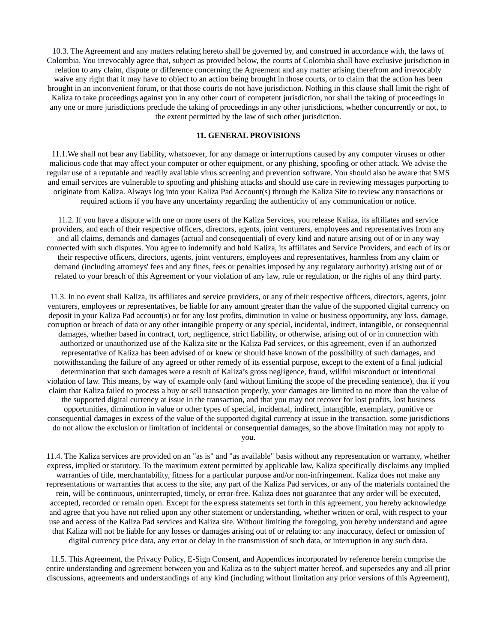10.3. The Agreement and any matters relating hereto shall be governed by, and construed in accordance with, the laws of Colombia. You irrevocably agree that, subject as provided below, the courts of Colombia shall have exclusive jurisdiction in relation to any claim, dispute or difference concerning the Agreement and any matter arising therefrom and irrevocably waive any right that it may have to object to an action being brought in those courts, or to claim that the action has been brought in an inconvenient forum, or that those courts do not have jurisdiction. Nothing in this clause shall limit the right of Kaliza to take proceedings against you in any other court of competent jurisdiction, nor shall the taking of proceedings in any one or more jurisdictions preclude the taking of proceedings in any other jurisdictions, whether concurrently or not, to the extent permitted by the law of such other jurisdiction.

# **11. GENERAL PROVISIONS**

11.1.We shall not bear any liability, whatsoever, for any damage or interruptions caused by any computer viruses or other malicious code that may affect your computer or other equipment, or any phishing, spoofing or other attack. We advise the regular use of a reputable and readily available virus screening and prevention software. You should also be aware that SMS and email services are vulnerable to spoofing and phishing attacks and should use care in reviewing messages purporting to originate from Kaliza. Always log into your Kaliza Pad Account(s) through the Kaliza Site to review any transactions or required actions if you have any uncertainty regarding the authenticity of any communication or notice.

11.2. If you have a dispute with one or more users of the Kaliza Services, you release Kaliza, its affiliates and service providers, and each of their respective officers, directors, agents, joint venturers, employees and representatives from any and all claims, demands and damages (actual and consequential) of every kind and nature arising out of or in any way connected with such disputes. You agree to indemnify and hold Kaliza, its affiliates and Service Providers, and each of its or their respective officers, directors, agents, joint venturers, employees and representatives, harmless from any claim or demand (including attorneys' fees and any fines, fees or penalties imposed by any regulatory authority) arising out of or related to your breach of this Agreement or your violation of any law, rule or regulation, or the rights of any third party.

11.3. In no event shall Kaliza, its affiliates and service providers, or any of their respective officers, directors, agents, joint venturers, employees or representatives, be liable for any amount greater than the value of the supported digital currency on deposit in your Kaliza Pad account(s) or for any lost profits, diminution in value or business opportunity, any loss, damage, corruption or breach of data or any other intangible property or any special, incidental, indirect, intangible, or consequential damages, whether based in contract, tort, negligence, strict liability, or otherwise, arising out of or in connection with authorized or unauthorized use of the Kaliza site or the Kaliza Pad services, or this agreement, even if an authorized representative of Kaliza has been advised of or knew or should have known of the possibility of such damages, and notwithstanding the failure of any agreed or other remedy of its essential purpose, except to the extent of a final judicial determination that such damages were a result of Kaliza's gross negligence, fraud, willful misconduct or intentional violation of law. This means, by way of example only (and without limiting the scope of the preceding sentence), that if you claim that Kaliza failed to process a buy or sell transaction properly, your damages are limited to no more than the value of the supported digital currency at issue in the transaction, and that you may not recover for lost profits, lost business opportunities, diminution in value or other types of special, incidental, indirect, intangible, exemplary, punitive or consequential damages in excess of the value of the supported digital currency at issue in the transaction. some jurisdictions do not allow the exclusion or limitation of incidental or consequential damages, so the above limitation may not apply to you.

11.4. The Kaliza services are provided on an "as is" and "as available" basis without any representation or warranty, whether express, implied or statutory. To the maximum extent permitted by applicable law, Kaliza specifically disclaims any implied warranties of title, merchantability, fitness for a particular purpose and/or non-infringement. Kaliza does not make any representations or warranties that access to the site, any part of the Kaliza Pad services, or any of the materials contained the rein, will be continuous, uninterrupted, timely, or error-free. Kaliza does not guarantee that any order will be executed, accepted, recorded or remain open. Except for the express statements set forth in this agreement, you hereby acknowledge and agree that you have not relied upon any other statement or understanding, whether written or oral, with respect to your use and access of the Kaliza Pad services and Kaliza site. Without limiting the foregoing, you hereby understand and agree that Kaliza will not be liable for any losses or damages arising out of or relating to: any inaccuracy, defect or omission of digital currency price data, any error or delay in the transmission of such data, or interruption in any such data.

11.5. This Agreement, the Privacy Policy, E-Sign Consent, and Appendices incorporated by reference herein comprise the entire understanding and agreement between you and Kaliza as to the subject matter hereof, and supersedes any and all prior discussions, agreements and understandings of any kind (including without limitation any prior versions of this Agreement),